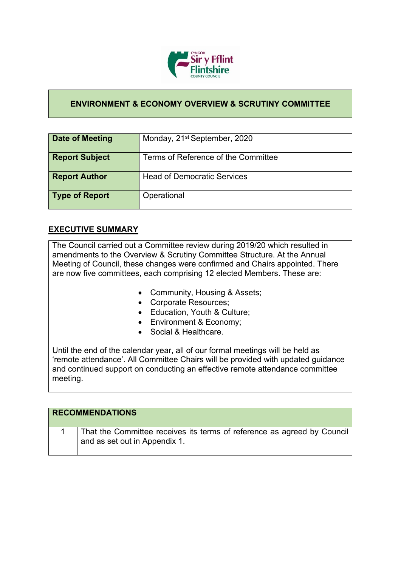

## **ENVIRONMENT & ECONOMY OVERVIEW & SCRUTINY COMMITTEE**

| <b>Date of Meeting</b> | Monday, 21 <sup>st</sup> September, 2020 |
|------------------------|------------------------------------------|
| <b>Report Subject</b>  | Terms of Reference of the Committee      |
| <b>Report Author</b>   | <b>Head of Democratic Services</b>       |
| Type of Report         | Operational                              |

## **EXECUTIVE SUMMARY**

The Council carried out a Committee review during 2019/20 which resulted in amendments to the Overview & Scrutiny Committee Structure. At the Annual Meeting of Council, these changes were confirmed and Chairs appointed. There are now five committees, each comprising 12 elected Members. These are:

- Community, Housing & Assets;
- Corporate Resources;
- Education, Youth & Culture;
- Environment & Economy;
- Social & Healthcare.

Until the end of the calendar year, all of our formal meetings will be held as 'remote attendance'. All Committee Chairs will be provided with updated guidance and continued support on conducting an effective remote attendance committee meeting.

| <b>RECOMMENDATIONS</b> |                                                                                                          |
|------------------------|----------------------------------------------------------------------------------------------------------|
|                        | That the Committee receives its terms of reference as agreed by Council<br>and as set out in Appendix 1. |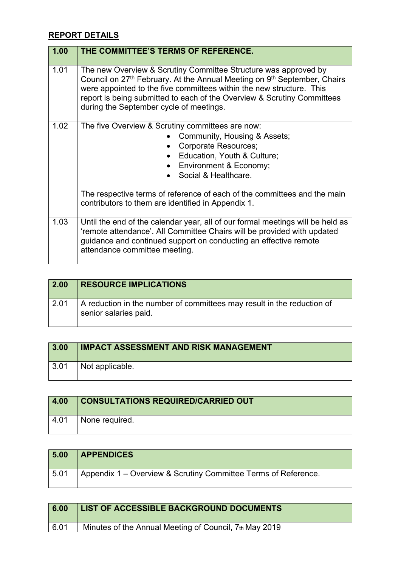## **REPORT DETAILS**

| 1.00 | THE COMMITTEE'S TERMS OF REFERENCE.                                                                                                                                                                                                                                                                                                                               |
|------|-------------------------------------------------------------------------------------------------------------------------------------------------------------------------------------------------------------------------------------------------------------------------------------------------------------------------------------------------------------------|
| 1.01 | The new Overview & Scrutiny Committee Structure was approved by<br>Council on 27 <sup>th</sup> February. At the Annual Meeting on 9 <sup>th</sup> September, Chairs<br>were appointed to the five committees within the new structure. This<br>report is being submitted to each of the Overview & Scrutiny Committees<br>during the September cycle of meetings. |
| 1.02 | The five Overview & Scrutiny committees are now:<br>Community, Housing & Assets;<br><b>Corporate Resources;</b><br>Education, Youth & Culture;<br>Environment & Economy;<br>Social & Healthcare.                                                                                                                                                                  |
|      | The respective terms of reference of each of the committees and the main<br>contributors to them are identified in Appendix 1.                                                                                                                                                                                                                                    |
| 1.03 | Until the end of the calendar year, all of our formal meetings will be held as<br>'remote attendance'. All Committee Chairs will be provided with updated<br>guidance and continued support on conducting an effective remote<br>attendance committee meeting.                                                                                                    |

| $\vert 2.00 \vert$ | <b>RESOURCE IMPLICATIONS</b>                                                                    |
|--------------------|-------------------------------------------------------------------------------------------------|
| $\sqrt{2.01}$      | A reduction in the number of committees may result in the reduction of<br>senior salaries paid. |

| 3.00 | <b>IMPACT ASSESSMENT AND RISK MANAGEMENT</b> |
|------|----------------------------------------------|
| 3.01 | $\,$ Not applicable.                         |

| 4.00 | <b>CONSULTATIONS REQUIRED/CARRIED OUT</b> |
|------|-------------------------------------------|
| 4.01 | I None required.                          |

| 5.00 | <b>APPENDICES</b>                                              |
|------|----------------------------------------------------------------|
| 5.01 | Appendix 1 – Overview & Scrutiny Committee Terms of Reference. |

| 6.00 | <b>LIST OF ACCESSIBLE BACKGROUND DOCUMENTS</b>         |
|------|--------------------------------------------------------|
| 6.01 | Minutes of the Annual Meeting of Council, 7th May 2019 |